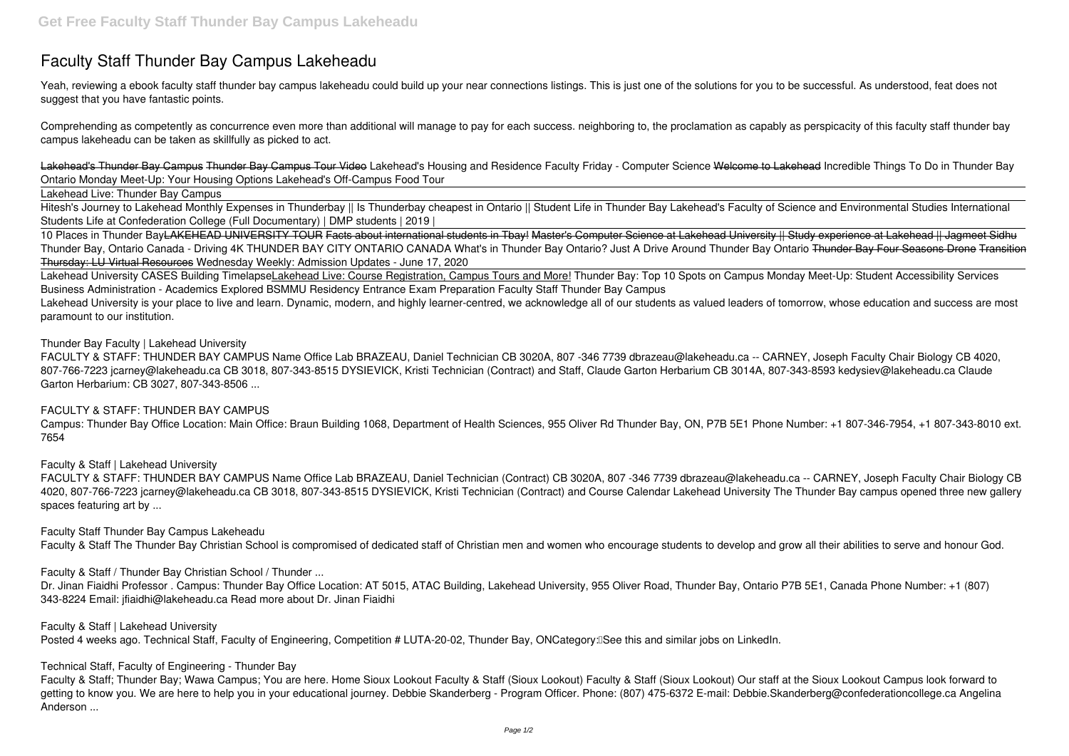# **Faculty Staff Thunder Bay Campus Lakeheadu**

Yeah, reviewing a ebook **faculty staff thunder bay campus lakeheadu** could build up your near connections listings. This is just one of the solutions for you to be successful. As understood, feat does not suggest that you have fantastic points.

Comprehending as competently as concurrence even more than additional will manage to pay for each success. neighboring to, the proclamation as capably as perspicacity of this faculty staff thunder bay campus lakeheadu can be taken as skillfully as picked to act.

Lakehead's Thunder Bay Campus Thunder Bay Campus Tour Video **Lakehead's Housing and Residence Faculty Friday - Computer Science** Welcome to Lakehead **Incredible Things To Do in Thunder Bay Ontario** *Monday Meet-Up: Your Housing Options* Lakehead's Off-Campus Food Tour

10 Places in Thunder BayLAKEHEAD UNIVERSITY TOUR Facts about international students in Tbay! Master's Computer Science at Lakehead University || Study experience at Lakehead || Jagmeet Sidhu *Thunder Bay, Ontario Canada - Driving 4K THUNDER BAY CITY ONTARIO CANADA* **What's in Thunder Bay Ontario? Just A Drive Around Thunder Bay Ontario** Thunder Bay Four Seasons Drone Transition Thursday: LU Virtual Resources Wednesday Weekly: Admission Updates - June 17, 2020

Lakehead Live: Thunder Bay Campus

Hitesh's Journey to Lakehead Monthly Expenses in Thunderbay || Is Thunderbay cheapest in Ontario || Student Life in Thunder Bay **Lakehead's Faculty of Science and Environmental Studies International Students Life at Confederation College (Full Documentary) | DMP students | 2019 |**

Lakehead University is your place to live and learn. Dynamic, modern, and highly learner-centred, we acknowledge all of our students as valued leaders of tomorrow, whose education and success are most paramount to our institution.

Lakehead University CASES Building TimelapseLakehead Live: Course Registration, Campus Tours and More! *Thunder Bay: Top 10 Spots on Campus Monday Meet-Up: Student Accessibility Services Business Administration - Academics Explored* **BSMMU Residency Entrance Exam Preparation** *Faculty Staff Thunder Bay Campus*

*Thunder Bay Faculty | Lakehead University*

FACULTY & STAFF: THUNDER BAY CAMPUS Name Office Lab BRAZEAU, Daniel Technician CB 3020A, 807 -346 7739 dbrazeau@lakeheadu.ca -- CARNEY, Joseph Faculty Chair Biology CB 4020, 807-766-7223 jcarney@lakeheadu.ca CB 3018, 807-343-8515 DYSIEVICK, Kristi Technician (Contract) and Staff, Claude Garton Herbarium CB 3014A, 807-343-8593 kedysiev@lakeheadu.ca Claude Garton Herbarium: CB 3027, 807-343-8506 ...

# *FACULTY & STAFF: THUNDER BAY CAMPUS*

Campus: Thunder Bay Office Location: Main Office: Braun Building 1068, Department of Health Sciences, 955 Oliver Rd Thunder Bay, ON, P7B 5E1 Phone Number: +1 807-346-7954, +1 807-343-8010 ext. 7654

*Faculty & Staff | Lakehead University*

FACULTY & STAFF: THUNDER BAY CAMPUS Name Office Lab BRAZEAU, Daniel Technician (Contract) CB 3020A, 807 -346 7739 dbrazeau@lakeheadu.ca -- CARNEY, Joseph Faculty Chair Biology CB 4020, 807-766-7223 jcarney@lakeheadu.ca CB 3018, 807-343-8515 DYSIEVICK, Kristi Technician (Contract) and Course Calendar Lakehead University The Thunder Bay campus opened three new gallery spaces featuring art by ...

*Faculty Staff Thunder Bay Campus Lakeheadu*

Faculty & Staff The Thunder Bay Christian School is compromised of dedicated staff of Christian men and women who encourage students to develop and grow all their abilities to serve and honour God.

*Faculty & Staff / Thunder Bay Christian School / Thunder ...*

Dr. Jinan Fiaidhi Professor . Campus: Thunder Bay Office Location: AT 5015, ATAC Building, Lakehead University, 955 Oliver Road, Thunder Bay, Ontario P7B 5E1, Canada Phone Number: +1 (807) 343-8224 Email: jfiaidhi@lakeheadu.ca Read more about Dr. Jinan Fiaidhi

*Faculty & Staff | Lakehead University*

Posted 4 weeks ago. Technical Staff, Faculty of Engineering, Competition # LUTA-20-02, Thunder Bay, ONCategory: See this and similar jobs on LinkedIn.

*Technical Staff, Faculty of Engineering - Thunder Bay*

Faculty & Staff; Thunder Bay; Wawa Campus; You are here. Home Sioux Lookout Faculty & Staff (Sioux Lookout) Faculty & Staff (Sioux Lookout) Our staff at the Sioux Lookout Campus look forward to getting to know you. We are here to help you in your educational journey. Debbie Skanderberg - Program Officer. Phone: (807) 475-6372 E-mail: Debbie.Skanderberg@confederationcollege.ca Angelina Anderson ...